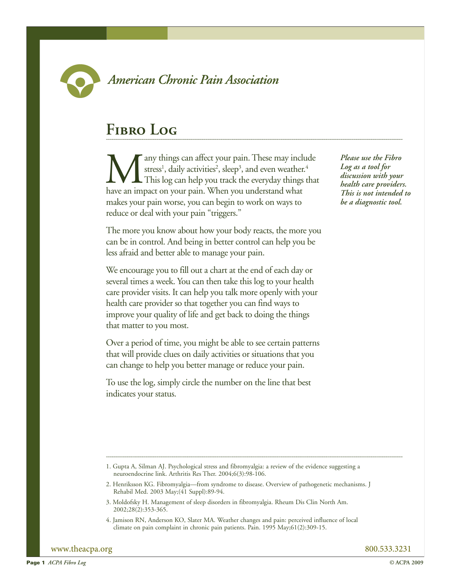

## **American Chronic Pain Association**

## **Fibro Log**

**Many things can affect your pain.** These may include stress<sup>1</sup>, daily activities<sup>2</sup>, sleep<sup>3</sup>, and even weather.<sup>4</sup> This log can help you track the everyday things that have an impact on your pain. When you understand wha stress<sup>1</sup>, daily activities<sup>2</sup>, sleep<sup>3</sup>, and even weather.<sup>4</sup> This log can help you track the everyday things that makes your pain worse, you can begin to work on ways to reduce or deal with your pain "triggers."

The more you know about how your body reacts, the more you can be in control. And being in better control can help you be less afraid and better able to manage your pain.

We encourage you to fill out a chart at the end of each day or several times a week. You can then take this log to your health care provider visits. It can help you talk more openly with your health care provider so that together you can find ways to improve your quality of life and get back to doing the things that matter to you most.

Over a period of time, you might be able to see certain patterns that will provide clues on daily activities or situations that you can change to help you better manage or reduce your pain.

To use the log, simply circle the number on the line that best indicates your status.

*Please use the Fibro Log as a tool for discussion with your health care providers. This is not intended to be a diagnostic tool.*

- 3. Moldofsky H. Management of sleep disorders in fibromyalgia. Rheum Dis Clin North Am. 2002;28(2):353-365.
- 4. Jamison RN, Anderson KO, Slater MA. Weather changes and pain: perceived influence of local climate on pain complaint in chronic pain patients. Pain. 1995 May;61(2):309-15.

www.theacpa.org 800.533.3231

<sup>1.</sup> Gupta A, Silman AJ. Psychological stress and fibromyalgia: a review of the evidence suggesting a neuroendocrine link. Arthritis Res Ther. 2004;6(3):98-106.

<sup>2.</sup> Henriksson KG. Fibromyalgia—from syndrome to disease. Overview of pathogenetic mechanisms. J Rehabil Med. 2003 May;(41 Suppl):89-94.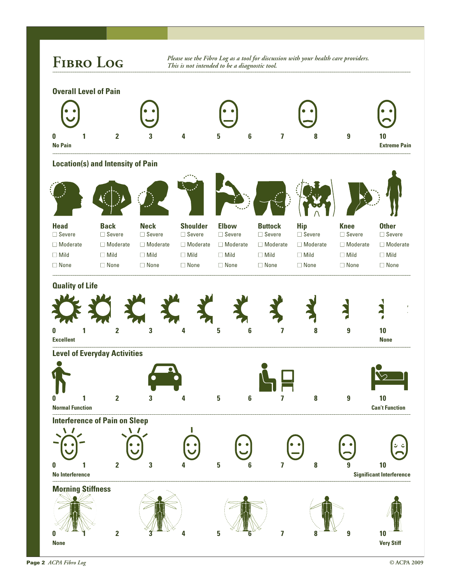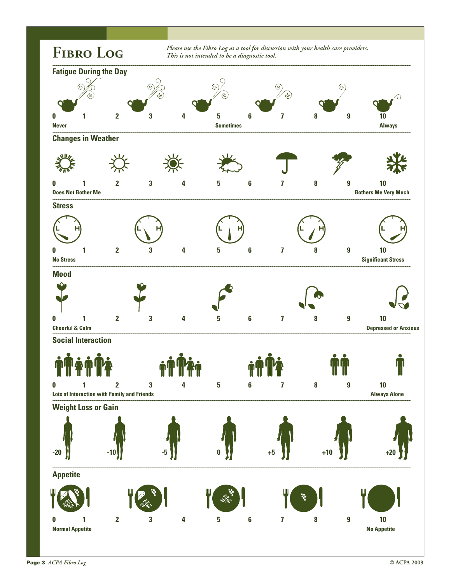